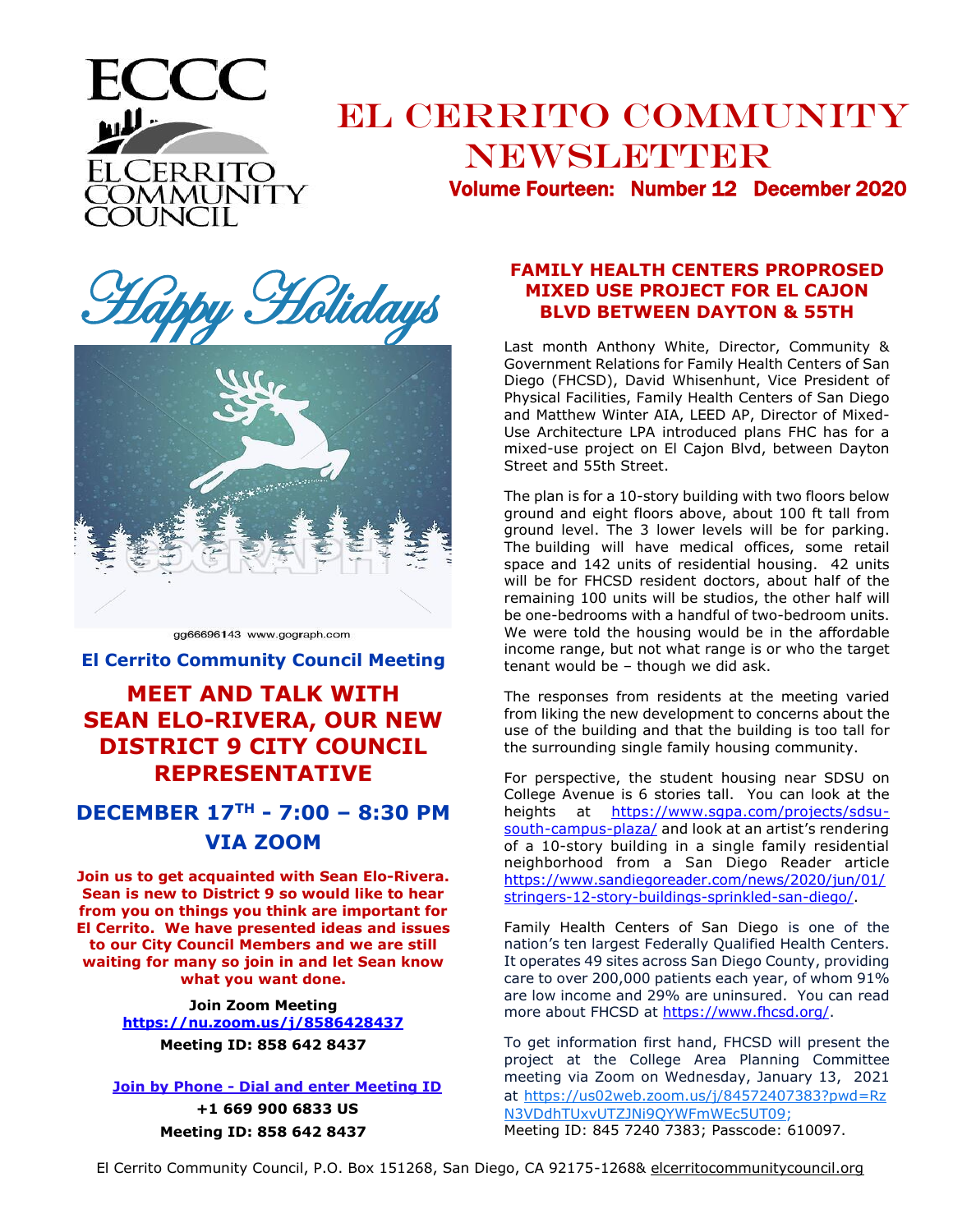

# EL CERRITO COMMUNITY NEWSLETTER

Volume Fourteen: Number 12 December 2020





gg66696143 www.gograph.com

**El Cerrito Community Council Meeting**

### **MEET AND TALK WITH SEAN ELO-RIVERA, OUR NEW DISTRICT 9 CITY COUNCIL REPRESENTATIVE**

### **DECEMBER 17TH - 7:00 – 8:30 PM VIA ZOOM**

**Join us to get acquainted with Sean Elo-Rivera. Sean is new to District 9 so would like to hear from you on things you think are important for El Cerrito. We have presented ideas and issues to our City Council Members and we are still waiting for many so join in and let Sean know what you want done.** 

> **Join Zoom Meeting <https://nu.zoom.us/j/8586428437> Meeting ID: 858 642 8437**

#### **Join by Phone - Dial and enter Meeting ID +1 669 900 6833 US**

**Meeting ID: 858 642 8437**

#### **FAMILY HEALTH CENTERS PROPROSED MIXED USE PROJECT FOR EL CAJON BLVD BETWEEN DAYTON & 55TH**

Last month Anthony White, Director, Community & Government Relations for Family Health Centers of San Diego (FHCSD), David Whisenhunt, Vice President of Physical Facilities, Family Health Centers of San Diego and Matthew Winter AIA, LEED AP, Director of Mixed-Use Architecture LPA introduced plans FHC has for a mixed-use project on El Cajon Blvd, between Dayton Street and 55th Street.

The plan is for a 10-story building with two floors below ground and eight floors above, about 100 ft tall from ground level. The 3 lower levels will be for parking. The building will have medical offices, some retail space and 142 units of residential housing. 42 units will be for FHCSD resident doctors, about half of the remaining 100 units will be studios, the other half will be one-bedrooms with a handful of two-bedroom units. We were told the housing would be in the affordable income range, but not what range is or who the target tenant would be – though we did ask.

The responses from residents at the meeting varied from liking the new development to concerns about the use of the building and that the building is too tall for the surrounding single family housing community.

For perspective, the student housing near SDSU on College Avenue is 6 stories tall. You can look at the heights at https://www.sqpa.com/projects/sdsu[south-campus-plaza/](https://www.sgpa.com/projects/sdsu-south-campus-plaza/) and look at an artist's rendering of a 10-story building in a single family residential neighborhood from a San Diego Reader article [https://www.sandiegoreader.com/news/2020/jun/01/](https://www.sandiegoreader.com/news/2020/jun/01/stringers-12-story-buildings-sprinkled-san-diego/) [stringers-12-story-buildings-sprinkled-san-diego/.](https://www.sandiegoreader.com/news/2020/jun/01/stringers-12-story-buildings-sprinkled-san-diego/)

Family Health Centers of San Diego is one of the nation's ten largest Federally Qualified Health Centers. It operates 49 sites across San Diego County, providing care to over 200,000 patients each year, of whom 91% are low income and 29% are uninsured. You can read more about FHCSD at [https://www.fhcsd.org/.](https://www.fhcsd.org/)

To get information first hand, FHCSD will present the project at the College Area Planning Committee meeting via Zoom on Wednesday, January 13, 2021 at [https://us02web.zoom.us/j/84572407383?pwd=Rz](http://r20.rs6.net/tn.jsp?f=0016pj4M0UVHuEkx_9UmEN6NBOqCoq1nS00Pm-YPTtRpCwA-SkLy51aCrs68G6N9zahv9zpakogq07_XRh0PJrm9KC3suyA3DkKHHbRlhsU6pQFDexa16EmGHycqNzX0q1Z_mSre9G9huUHbRbmbnq41wTnq14em-12eibPa4G_KW_kL3gyi0wyoQSRrI1gO_cPE_UX9k_ORoHogLWV0cauZGOvfoyEhC6p1pn9LCH_8FJvplDd5pf8X7Abn_nV_5ZqTuFu0UxWyPy0bdkNipL6V4TabC2VJ1Ocax5AZZkHJqnK-36k3SFOI5hsmT0u8SgAiEoWDSI-yggQuJU6Ei_2PlupDNUUF-OOCx4iiRMGCzqmHJXVNSEpFZoHGdgG7duXm5aF7BVzH7kAUZ8lUpLfXa0LPj3ruV0flw0DOZEhNbe0OKNCx9FjUQ==&c=nqR2Tpg1SbDye5an9op_DQQtoIjpEjf95QnUFEaGOzixtJUheRo1jw==&ch=Q9wQrc7vrL1UN5UT19cka4_Q-_bAeEa90IApaMQuCJhCS5l1_7En4Q==) [N3VDdhTUxvUTZJNi9QYWFmWEc5UT09;](http://r20.rs6.net/tn.jsp?f=0016pj4M0UVHuEkx_9UmEN6NBOqCoq1nS00Pm-YPTtRpCwA-SkLy51aCrs68G6N9zahv9zpakogq07_XRh0PJrm9KC3suyA3DkKHHbRlhsU6pQFDexa16EmGHycqNzX0q1Z_mSre9G9huUHbRbmbnq41wTnq14em-12eibPa4G_KW_kL3gyi0wyoQSRrI1gO_cPE_UX9k_ORoHogLWV0cauZGOvfoyEhC6p1pn9LCH_8FJvplDd5pf8X7Abn_nV_5ZqTuFu0UxWyPy0bdkNipL6V4TabC2VJ1Ocax5AZZkHJqnK-36k3SFOI5hsmT0u8SgAiEoWDSI-yggQuJU6Ei_2PlupDNUUF-OOCx4iiRMGCzqmHJXVNSEpFZoHGdgG7duXm5aF7BVzH7kAUZ8lUpLfXa0LPj3ruV0flw0DOZEhNbe0OKNCx9FjUQ==&c=nqR2Tpg1SbDye5an9op_DQQtoIjpEjf95QnUFEaGOzixtJUheRo1jw==&ch=Q9wQrc7vrL1UN5UT19cka4_Q-_bAeEa90IApaMQuCJhCS5l1_7En4Q==) Meeting ID: 845 7240 7383; Passcode: 610097.

El Cerrito Community Council, P.O. Box 151268, San Diego, CA 92175-1268& elcerritocommunitycouncil.org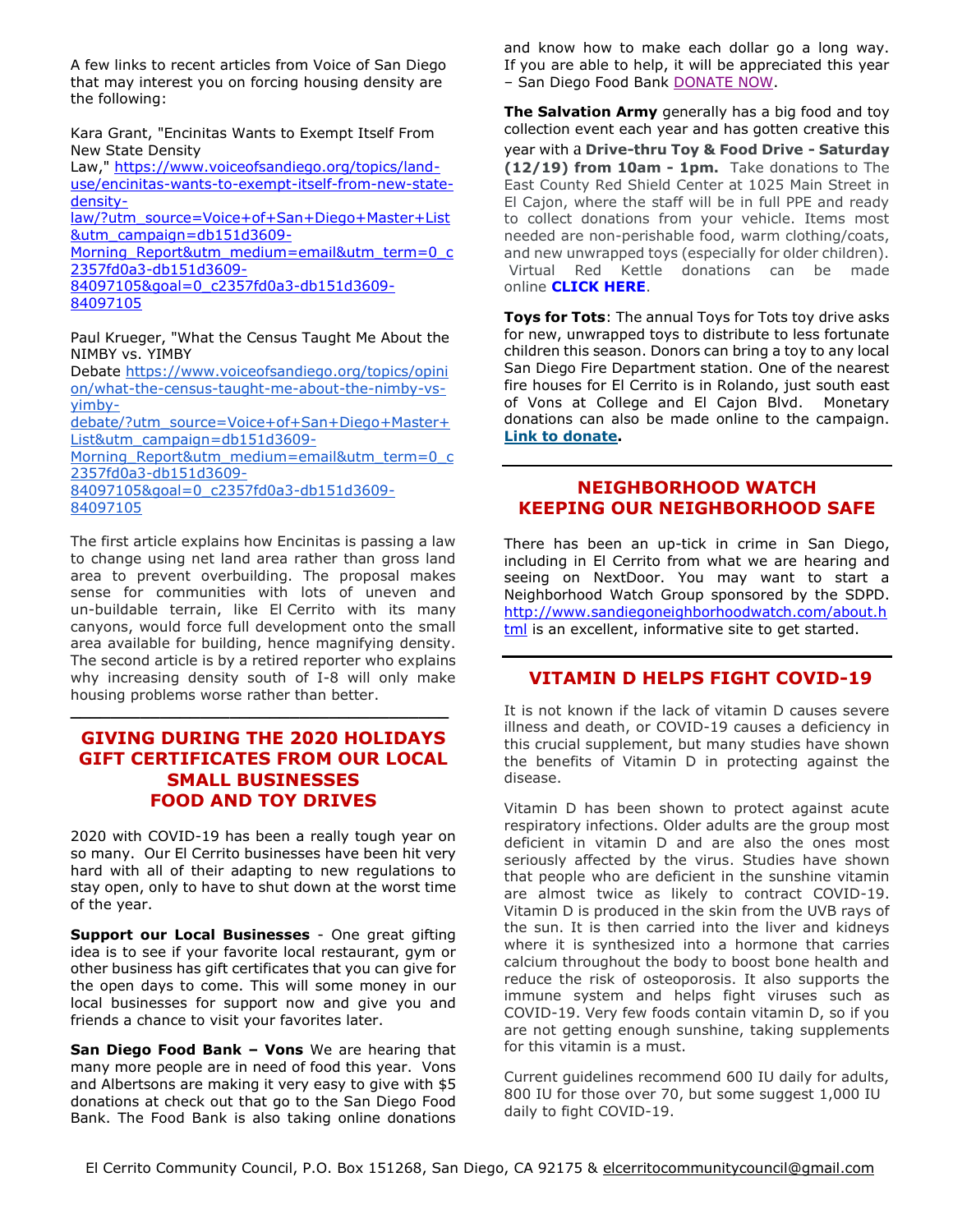A few links to recent articles from Voice of San Diego that may interest you on forcing housing density are the following:

Kara Grant, "Encinitas Wants to Exempt Itself From New State Density

Law," [https://www.voiceofsandiego.org/topics/land](https://www.voiceofsandiego.org/topics/land-use/encinitas-wants-to-exempt-itself-from-new-state-density-law/?utm_source=Voice+of+San+Diego+Master+List&utm_campaign=db151d3609-Morning_Report&utm_medium=email&utm_term=0_c2357fd0a3-db151d3609-84097105&goal=0_c2357fd0a3-db151d3609-84097105)[use/encinitas-wants-to-exempt-itself-from-new-state](https://www.voiceofsandiego.org/topics/land-use/encinitas-wants-to-exempt-itself-from-new-state-density-law/?utm_source=Voice+of+San+Diego+Master+List&utm_campaign=db151d3609-Morning_Report&utm_medium=email&utm_term=0_c2357fd0a3-db151d3609-84097105&goal=0_c2357fd0a3-db151d3609-84097105)[density-](https://www.voiceofsandiego.org/topics/land-use/encinitas-wants-to-exempt-itself-from-new-state-density-law/?utm_source=Voice+of+San+Diego+Master+List&utm_campaign=db151d3609-Morning_Report&utm_medium=email&utm_term=0_c2357fd0a3-db151d3609-84097105&goal=0_c2357fd0a3-db151d3609-84097105)

[law/?utm\\_source=Voice+of+San+Diego+Master+List](https://www.voiceofsandiego.org/topics/land-use/encinitas-wants-to-exempt-itself-from-new-state-density-law/?utm_source=Voice+of+San+Diego+Master+List&utm_campaign=db151d3609-Morning_Report&utm_medium=email&utm_term=0_c2357fd0a3-db151d3609-84097105&goal=0_c2357fd0a3-db151d3609-84097105) [&utm\\_campaign=db151d3609-](https://www.voiceofsandiego.org/topics/land-use/encinitas-wants-to-exempt-itself-from-new-state-density-law/?utm_source=Voice+of+San+Diego+Master+List&utm_campaign=db151d3609-Morning_Report&utm_medium=email&utm_term=0_c2357fd0a3-db151d3609-84097105&goal=0_c2357fd0a3-db151d3609-84097105)

Morning Report&utm\_medium=email&utm\_term=0\_c [2357fd0a3-db151d3609-](https://www.voiceofsandiego.org/topics/land-use/encinitas-wants-to-exempt-itself-from-new-state-density-law/?utm_source=Voice+of+San+Diego+Master+List&utm_campaign=db151d3609-Morning_Report&utm_medium=email&utm_term=0_c2357fd0a3-db151d3609-84097105&goal=0_c2357fd0a3-db151d3609-84097105)

[84097105&goal=0\\_c2357fd0a3-db151d3609-](https://www.voiceofsandiego.org/topics/land-use/encinitas-wants-to-exempt-itself-from-new-state-density-law/?utm_source=Voice+of+San+Diego+Master+List&utm_campaign=db151d3609-Morning_Report&utm_medium=email&utm_term=0_c2357fd0a3-db151d3609-84097105&goal=0_c2357fd0a3-db151d3609-84097105) [84097105](https://www.voiceofsandiego.org/topics/land-use/encinitas-wants-to-exempt-itself-from-new-state-density-law/?utm_source=Voice+of+San+Diego+Master+List&utm_campaign=db151d3609-Morning_Report&utm_medium=email&utm_term=0_c2357fd0a3-db151d3609-84097105&goal=0_c2357fd0a3-db151d3609-84097105)

Paul Krueger, "What the Census Taught Me About the NIMBY vs. YIMBY

Debate [https://www.voiceofsandiego.org/topics/opini](https://www.voiceofsandiego.org/topics/opinion/what-the-census-taught-me-about-the-nimby-vs-yimby-debate/?utm_source=Voice+of+San+Diego+Master+List&utm_campaign=db151d3609-Morning_Report&utm_medium=email&utm_term=0_c2357fd0a3-db151d3609-84097105&goal=0_c2357fd0a3-db151d3609-84097105) [on/what-the-census-taught-me-about-the-nimby-vs](https://www.voiceofsandiego.org/topics/opinion/what-the-census-taught-me-about-the-nimby-vs-yimby-debate/?utm_source=Voice+of+San+Diego+Master+List&utm_campaign=db151d3609-Morning_Report&utm_medium=email&utm_term=0_c2357fd0a3-db151d3609-84097105&goal=0_c2357fd0a3-db151d3609-84097105)[yimby-](https://www.voiceofsandiego.org/topics/opinion/what-the-census-taught-me-about-the-nimby-vs-yimby-debate/?utm_source=Voice+of+San+Diego+Master+List&utm_campaign=db151d3609-Morning_Report&utm_medium=email&utm_term=0_c2357fd0a3-db151d3609-84097105&goal=0_c2357fd0a3-db151d3609-84097105)

[debate/?utm\\_source=Voice+of+San+Diego+Master+](https://www.voiceofsandiego.org/topics/opinion/what-the-census-taught-me-about-the-nimby-vs-yimby-debate/?utm_source=Voice+of+San+Diego+Master+List&utm_campaign=db151d3609-Morning_Report&utm_medium=email&utm_term=0_c2357fd0a3-db151d3609-84097105&goal=0_c2357fd0a3-db151d3609-84097105) [List&utm\\_campaign=db151d3609-](https://www.voiceofsandiego.org/topics/opinion/what-the-census-taught-me-about-the-nimby-vs-yimby-debate/?utm_source=Voice+of+San+Diego+Master+List&utm_campaign=db151d3609-Morning_Report&utm_medium=email&utm_term=0_c2357fd0a3-db151d3609-84097105&goal=0_c2357fd0a3-db151d3609-84097105)

Morning Report&utm medium=email&utm term=0 c [2357fd0a3-db151d3609-](https://www.voiceofsandiego.org/topics/opinion/what-the-census-taught-me-about-the-nimby-vs-yimby-debate/?utm_source=Voice+of+San+Diego+Master+List&utm_campaign=db151d3609-Morning_Report&utm_medium=email&utm_term=0_c2357fd0a3-db151d3609-84097105&goal=0_c2357fd0a3-db151d3609-84097105)

[84097105&goal=0\\_c2357fd0a3-db151d3609-](https://www.voiceofsandiego.org/topics/opinion/what-the-census-taught-me-about-the-nimby-vs-yimby-debate/?utm_source=Voice+of+San+Diego+Master+List&utm_campaign=db151d3609-Morning_Report&utm_medium=email&utm_term=0_c2357fd0a3-db151d3609-84097105&goal=0_c2357fd0a3-db151d3609-84097105) [84097105](https://www.voiceofsandiego.org/topics/opinion/what-the-census-taught-me-about-the-nimby-vs-yimby-debate/?utm_source=Voice+of+San+Diego+Master+List&utm_campaign=db151d3609-Morning_Report&utm_medium=email&utm_term=0_c2357fd0a3-db151d3609-84097105&goal=0_c2357fd0a3-db151d3609-84097105)

The first article explains how Encinitas is passing a law to change using net land area rather than gross land area to prevent overbuilding. The proposal makes sense for communities with lots of uneven and un-buildable terrain, like El Cerrito with its many canyons, would force full development onto the small area available for building, hence magnifying density. The second article is by a retired reporter who explains why increasing density south of I-8 will only make housing problems worse rather than better.

#### **GIVING DURING THE 2020 HOLIDAYS GIFT CERTIFICATES FROM OUR LOCAL SMALL BUSINESSES FOOD AND TOY DRIVES**

**\_\_\_\_\_\_\_\_\_\_\_\_\_\_\_\_\_\_\_\_\_\_\_\_\_\_\_\_\_\_\_\_\_\_\_\_\_\_**

2020 with COVID-19 has been a really tough year on so many. Our El Cerrito businesses have been hit very hard with all of their adapting to new regulations to stay open, only to have to shut down at the worst time of the year.

**Support our Local Businesses** - One great gifting idea is to see if your favorite local restaurant, gym or other business has gift certificates that you can give for the open days to come. This will some money in our local businesses for support now and give you and friends a chance to visit your favorites later.

**San Diego Food Bank – Vons** We are hearing that many more people are in need of food this year. Vons and Albertsons are making it very easy to give with \$5 donations at check out that go to the San Diego Food Bank. The Food Bank is also taking online donations and know how to make each dollar go a long way. If you are able to help, it will be appreciated this year – San Diego Food Bank [DONATE NOW.](https://interland3.donorperfect.net/weblink/weblink.aspx?name=E33999&id=167)

**The Salvation Army** generally has a big food and toy collection event each year and has gotten creative this year with a **Drive-thru Toy & Food Drive - Saturday (12/19) from 10am - 1pm.** Take donations to The East County Red Shield Center at 1025 Main Street in El Cajon, where the staff will be in full PPE and ready to collect donations from your vehicle. Items most needed are non-perishable food, warm clothing/coats, and new unwrapped toys (especially for older children). Virtual Red Kettle donations can be made online **[CLICK HERE](https://elcajon.salvationarmy.org/)**.

**Toys for Tots**: The annual Toys for Tots toy drive asks for new, unwrapped toys to distribute to less fortunate children this season. Donors can bring a toy to any local San Diego Fire Department station. One of the nearest fire houses for El Cerrito is in Rolando, just south east of Vons at College and El Cajon Blvd. Monetary donations can also be made online to the campaign. **[Link to donate.](https://san-diego-ca.toysfortots.org/local-coordinator-sites/lco-sites/default.aspx)**

#### **NEIGHBORHOOD WATCH KEEPING OUR NEIGHBORHOOD SAFE**

There has been an up-tick in crime in San Diego, including in El Cerrito from what we are hearing and seeing on NextDoor. You may want to start a Neighborhood Watch Group sponsored by the SDPD. [http://www.sandiegoneighborhoodwatch.com/about.h](http://www.sandiegoneighborhoodwatch.com/about.html) [tml](http://www.sandiegoneighborhoodwatch.com/about.html) is an excellent, informative site to get started.

#### **VITAMIN D HELPS FIGHT COVID-19**

It is not known if the lack of vitamin D causes severe illness and death, or COVID-19 causes a deficiency in this crucial supplement, but many studies have shown the benefits of Vitamin D in protecting against the disease.

Vitamin D has been shown to protect against acute respiratory infections. Older adults are the group most deficient in vitamin D and are also the ones most seriously affected by the virus. Studies have shown that people who are deficient in the sunshine vitamin are almost twice as likely to contract COVID-19. Vitamin D is produced in the skin from the UVB rays of the sun. It is then carried into the liver and kidneys where it is synthesized into a hormone that carries calcium throughout the body to boost bone health and reduce the risk of osteoporosis. It also supports the immune system and helps fight viruses such as COVID-19. Very few foods contain vitamin D, so if you are not getting enough sunshine, taking supplements for this vitamin is a must.

Current guidelines recommend 600 IU daily for adults, 800 IU for those over 70, but some suggest 1,000 IU daily to fight COVID-19.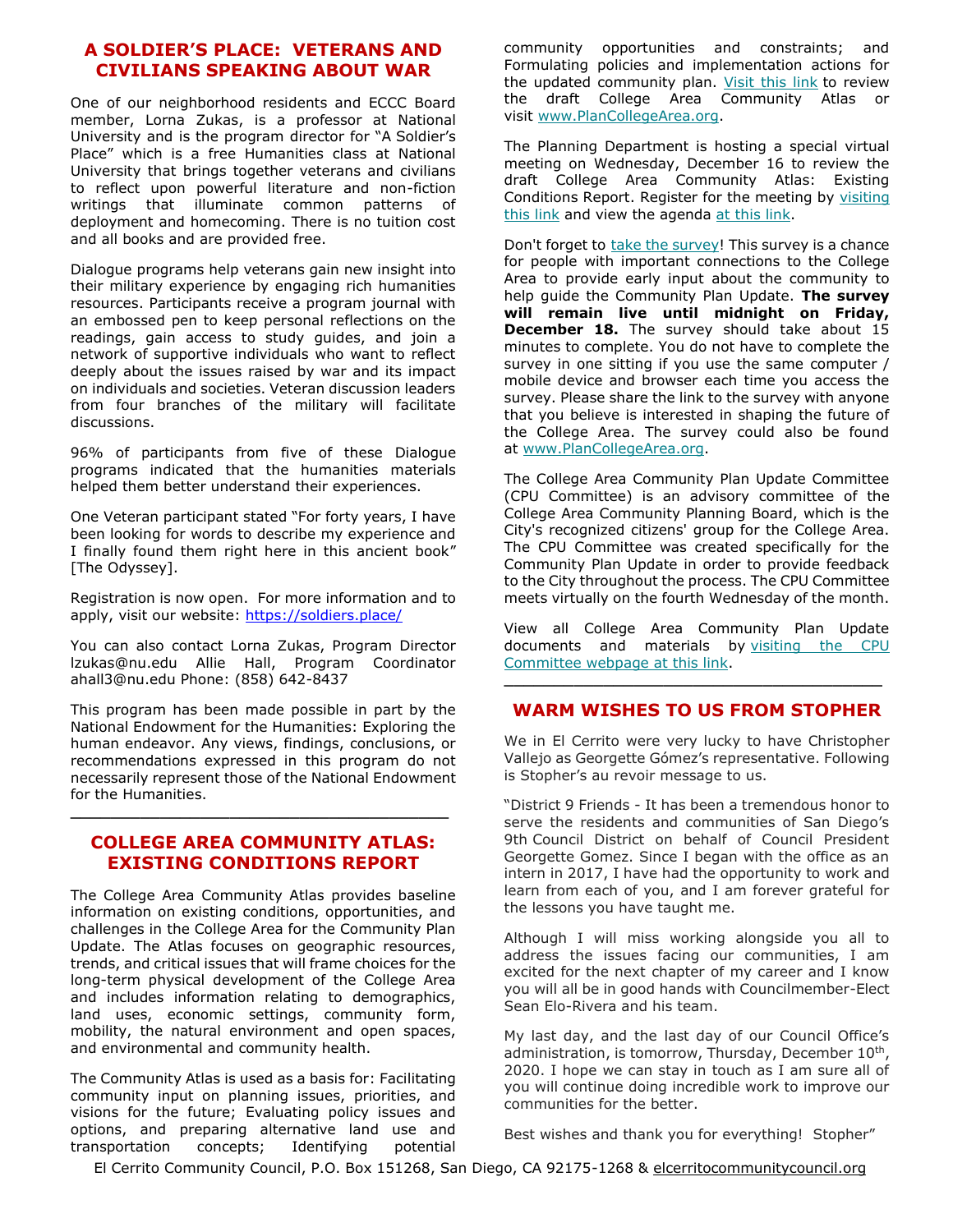#### **A SOLDIER'S PLACE: VETERANS AND CIVILIANS SPEAKING ABOUT WAR**

One of our neighborhood residents and ECCC Board member, Lorna Zukas, is a professor at National University and is the program director for "A Soldier's Place" which is a free Humanities class at National University that brings together veterans and civilians to reflect upon powerful literature and non-fiction writings that illuminate common patterns of deployment and homecoming. There is no tuition cost and all books and are provided free.

Dialogue programs help veterans gain new insight into their military experience by engaging rich humanities resources. Participants receive a program journal with an embossed pen to keep personal reflections on the readings, gain access to study guides, and join a network of supportive individuals who want to reflect deeply about the issues raised by war and its impact on individuals and societies. Veteran discussion leaders from four branches of the military will facilitate discussions.

96% of participants from five of these Dialogue programs indicated that the humanities materials helped them better understand their experiences.

One Veteran participant stated "For forty years, I have been looking for words to describe my experience and I finally found them right here in this ancient book" [The Odyssey].

Registration is now open. For more information and to apply, visit our website:<https://soldiers.place/>

You can also contact Lorna Zukas, Program Director lzukas@nu.edu Allie Hall, Program Coordinator ahall3@nu.edu Phone: (858) 642-8437

This program has been made possible in part by the National Endowment for the Humanities: Exploring the human endeavor. Any views, findings, conclusions, or recommendations expressed in this program do not necessarily represent those of the National Endowment for the Humanities.

#### **COLLEGE AREA COMMUNITY ATLAS: EXISTING CONDITIONS REPORT**

**\_\_\_\_\_\_\_\_\_\_\_\_\_\_\_\_\_\_\_\_\_\_\_\_\_\_\_\_\_\_\_\_\_\_\_\_\_\_**

The College Area Community Atlas provides baseline information on existing conditions, opportunities, and challenges in the College Area for the Community Plan Update. The Atlas focuses on geographic resources, trends, and critical issues that will frame choices for the long-term physical development of the College Area and includes information relating to demographics, land uses, economic settings, community form, mobility, the natural environment and open spaces, and environmental and community health.

The Community Atlas is used as a basis for: Facilitating community input on planning issues, priorities, and visions for the future; Evaluating policy issues and options, and preparing alternative land use and transportation concepts; Identifying potential

community opportunities and constraints; and Formulating policies and implementation actions for the updated community plan. [Visit this link](https://sandiego.us18.list-manage.com/track/click?u=f0adb30b4a98fc6b1d9d317aa&id=878efdb83a&e=0dc4ad84b7) to review the draft College Area Community Atlas or visit [www.PlanCollegeArea.org.](https://sandiego.us18.list-manage.com/track/click?u=f0adb30b4a98fc6b1d9d317aa&id=282b33e17f&e=0dc4ad84b7)

The Planning Department is hosting a special virtual meeting on Wednesday, December 16 to review the draft College Area Community Atlas: Existing Conditions Report. Register for the meeting by visiting [this link](https://sandiego.us18.list-manage.com/track/click?u=f0adb30b4a98fc6b1d9d317aa&id=23b2546293&e=0dc4ad84b7) and view the agenda [at this link.](https://sandiego.us18.list-manage.com/track/click?u=f0adb30b4a98fc6b1d9d317aa&id=98a8c02560&e=0dc4ad84b7)

Don't forget to [take the survey!](https://sandiego.us18.list-manage.com/track/click?u=f0adb30b4a98fc6b1d9d317aa&id=04bc979f0d&e=0dc4ad84b7) This survey is a chance for people with important connections to the College Area to provide early input about the community to help guide the Community Plan Update. **The survey will remain live until midnight on Friday, December 18.** The survey should take about 15 minutes to complete. You do not have to complete the survey in one sitting if you use the same computer / mobile device and browser each time you access the survey. Please share the link to the survey with anyone that you believe is interested in shaping the future of the College Area. The survey could also be found at [www.PlanCollegeArea.org.](https://sandiego.us18.list-manage.com/track/click?u=f0adb30b4a98fc6b1d9d317aa&id=67b8a49c44&e=0dc4ad84b7)

The College Area Community Plan Update Committee (CPU Committee) is an advisory committee of the College Area Community Planning Board, which is the City's recognized citizens' group for the College Area. The CPU Committee was created specifically for the Community Plan Update in order to provide feedback to the City throughout the process. The CPU Committee meets virtually on the fourth Wednesday of the month.

View all College Area Community Plan Update documents and materials by visiting the CPU [Committee webpage at this link.](https://sandiego.us18.list-manage.com/track/click?u=f0adb30b4a98fc6b1d9d317aa&id=900d018280&e=0dc4ad84b7)

#### **\_\_\_\_\_\_\_\_\_\_\_\_\_\_\_\_\_\_\_\_\_\_\_\_\_\_\_\_\_\_\_\_\_\_\_\_\_\_ WARM WISHES TO US FROM STOPHER**

We in El Cerrito were very lucky to have Christopher Vallejo as Georgette Gómez's representative. Following is Stopher's au revoir message to us.

"District 9 Friends - It has been a tremendous honor to serve the residents and communities of San Diego's 9th Council District on behalf of Council President Georgette Gomez. Since I began with the office as an intern in 2017, I have had the opportunity to work and learn from each of you, and I am forever grateful for the lessons you have taught me.

Although I will miss working alongside you all to address the issues facing our communities, I am excited for the next chapter of my career and I know you will all be in good hands with Councilmember-Elect Sean Elo-Rivera and his team.

My last day, and the last day of our Council Office's administration, is tomorrow, Thursday, December 10<sup>th</sup>, 2020. I hope we can stay in touch as I am sure all of you will continue doing incredible work to improve our communities for the better.

Best wishes and thank you for everything! Stopher"

El Cerrito Community Council, P.O. Box 151268, San Diego, CA 92175-1268 & elcerritocommunitycouncil.org